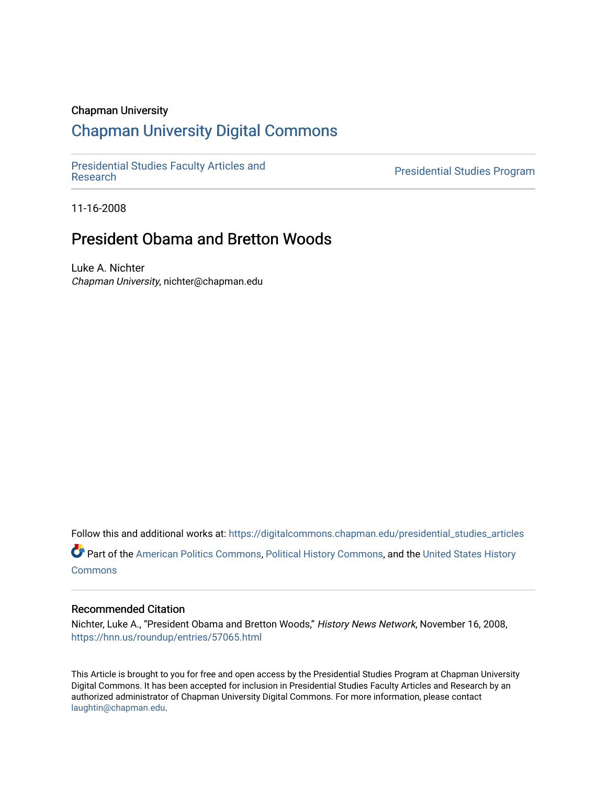### Chapman University

## [Chapman University Digital Commons](https://digitalcommons.chapman.edu/)

[Presidential Studies Faculty Articles and](https://digitalcommons.chapman.edu/presidential_studies_articles) 

**Presidential Studies Program** 

11-16-2008

# President Obama and Bretton Woods

Luke A. Nichter Chapman University, nichter@chapman.edu

Follow this and additional works at: [https://digitalcommons.chapman.edu/presidential\\_studies\\_articles](https://digitalcommons.chapman.edu/presidential_studies_articles?utm_source=digitalcommons.chapman.edu%2Fpresidential_studies_articles%2F3&utm_medium=PDF&utm_campaign=PDFCoverPages)  Part of the [American Politics Commons,](http://network.bepress.com/hgg/discipline/387?utm_source=digitalcommons.chapman.edu%2Fpresidential_studies_articles%2F3&utm_medium=PDF&utm_campaign=PDFCoverPages) [Political History Commons,](http://network.bepress.com/hgg/discipline/505?utm_source=digitalcommons.chapman.edu%2Fpresidential_studies_articles%2F3&utm_medium=PDF&utm_campaign=PDFCoverPages) and the [United States History](http://network.bepress.com/hgg/discipline/495?utm_source=digitalcommons.chapman.edu%2Fpresidential_studies_articles%2F3&utm_medium=PDF&utm_campaign=PDFCoverPages) **[Commons](http://network.bepress.com/hgg/discipline/495?utm_source=digitalcommons.chapman.edu%2Fpresidential_studies_articles%2F3&utm_medium=PDF&utm_campaign=PDFCoverPages)** 

#### Recommended Citation

Nichter, Luke A., "President Obama and Bretton Woods," History News Network, November 16, 2008, <https://hnn.us/roundup/entries/57065.html>

This Article is brought to you for free and open access by the Presidential Studies Program at Chapman University Digital Commons. It has been accepted for inclusion in Presidential Studies Faculty Articles and Research by an authorized administrator of Chapman University Digital Commons. For more information, please contact [laughtin@chapman.edu.](mailto:laughtin@chapman.edu)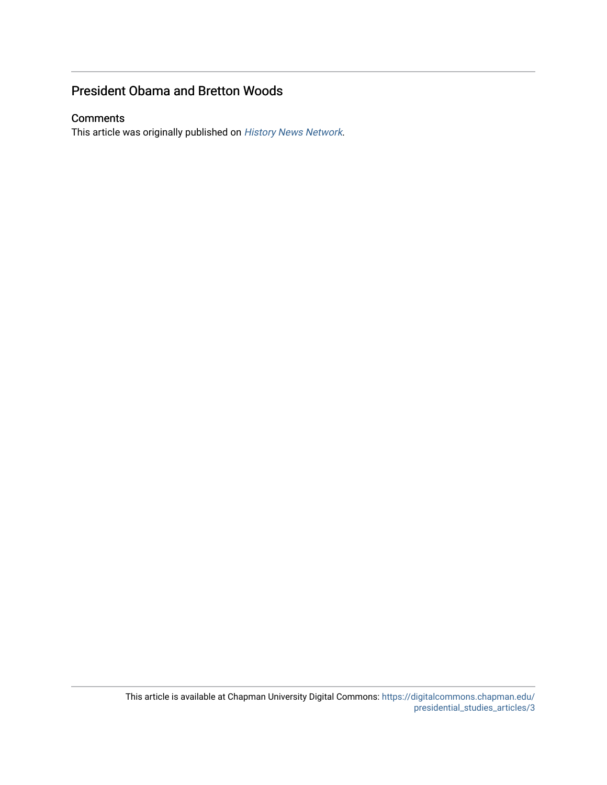## President Obama and Bretton Woods

## **Comments**

This article was originally published on [History News Network](https://hnn.us/roundup/entries/57065.html).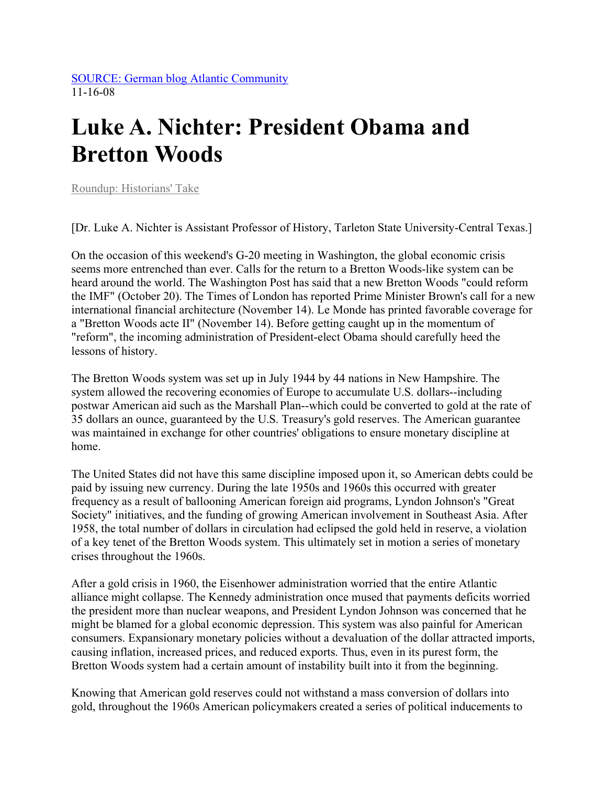[SOURCE: German blog Atlantic Community](http://atlantic-community.org/index/articles/view/President_Obama_and_Bretton_Woods)  11-16-08

# **Luke A. Nichter: President Obama and Bretton Woods**

[Roundup: Historians' Take](https://hnn.us/article/category/38) 

[Dr. Luke A. Nichter is Assistant Professor of History, Tarleton State University-Central Texas.]

On the occasion of this weekend's G-20 meeting in Washington, the global economic crisis seems more entrenched than ever. Calls for the return to a Bretton Woods-like system can be heard around the world. The Washington Post has said that a new Bretton Woods "could reform the IMF" (October 20). The Times of London has reported Prime Minister Brown's call for a new international financial architecture (November 14). Le Monde has printed favorable coverage for a "Bretton Woods acte II" (November 14). Before getting caught up in the momentum of "reform", the incoming administration of President-elect Obama should carefully heed the lessons of history.

The Bretton Woods system was set up in July 1944 by 44 nations in New Hampshire. The system allowed the recovering economies of Europe to accumulate U.S. dollars--including postwar American aid such as the Marshall Plan--which could be converted to gold at the rate of 35 dollars an ounce, guaranteed by the U.S. Treasury's gold reserves. The American guarantee was maintained in exchange for other countries' obligations to ensure monetary discipline at home.

The United States did not have this same discipline imposed upon it, so American debts could be paid by issuing new currency. During the late 1950s and 1960s this occurred with greater frequency as a result of ballooning American foreign aid programs, Lyndon Johnson's "Great Society" initiatives, and the funding of growing American involvement in Southeast Asia. After 1958, the total number of dollars in circulation had eclipsed the gold held in reserve, a violation of a key tenet of the Bretton Woods system. This ultimately set in motion a series of monetary crises throughout the 1960s.

After a gold crisis in 1960, the Eisenhower administration worried that the entire Atlantic alliance might collapse. The Kennedy administration once mused that payments deficits worried the president more than nuclear weapons, and President Lyndon Johnson was concerned that he might be blamed for a global economic depression. This system was also painful for American consumers. Expansionary monetary policies without a devaluation of the dollar attracted imports, causing inflation, increased prices, and reduced exports. Thus, even in its purest form, the Bretton Woods system had a certain amount of instability built into it from the beginning.

Knowing that American gold reserves could not withstand a mass conversion of dollars into gold, throughout the 1960s American policymakers created a series of political inducements to